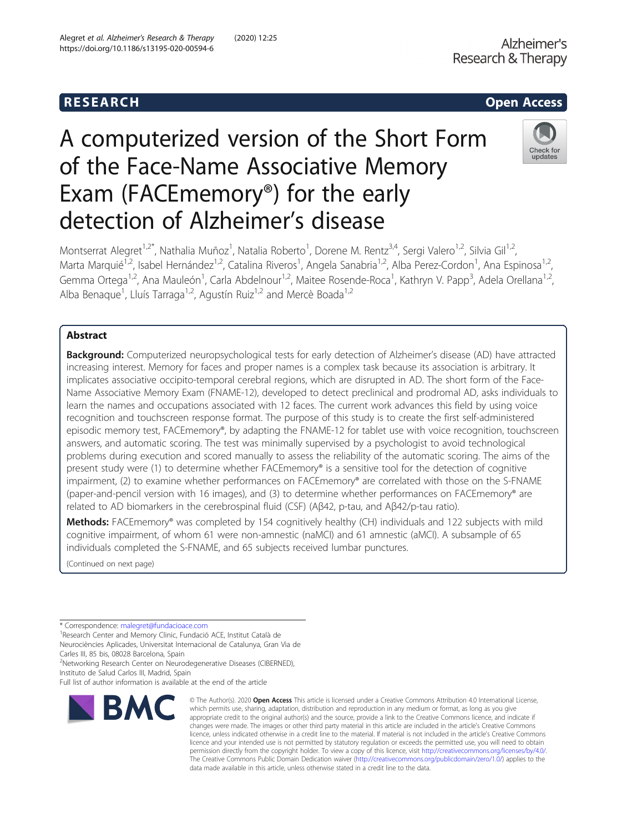## R E S EAR CH Open Access

# A computerized version of the Short Form of the Face-Name Associative Memory Exam (FACEmemory®) for the early detection of Alzheimer's disease



Montserrat Alegret<sup>1,2\*</sup>, Nathalia Muñoz<sup>1</sup>, Natalia Roberto<sup>1</sup>, Dorene M. Rentz<sup>3,4</sup>, Sergi Valero<sup>1,2</sup>, Silvia Gil<sup>1,2</sup>, Marta Marquié<sup>1,2</sup>, Isabel Hernández<sup>1,2</sup>, Catalina Riveros<sup>1</sup>, Angela Sanabria<sup>1,2</sup>, Alba Perez-Cordon<sup>1</sup>, Ana Espinosa<sup>1,2</sup>, Gemma Ortega<sup>1,2</sup>, Ana Mauleón<sup>1</sup>, Carla Abdelnour<sup>1,2</sup>, Maitee Rosende-Roca<sup>1</sup>, Kathryn V. Papp<sup>3</sup>, Adela Orellana<sup>1,2</sup>, Alba Benaque<sup>1</sup>, Lluís Tarraga<sup>1,2</sup>, Agustín Ruiz<sup>1,2</sup> and Mercè Boada<sup>1,2</sup>

## Abstract

Background: Computerized neuropsychological tests for early detection of Alzheimer's disease (AD) have attracted increasing interest. Memory for faces and proper names is a complex task because its association is arbitrary. It implicates associative occipito-temporal cerebral regions, which are disrupted in AD. The short form of the Face-Name Associative Memory Exam (FNAME-12), developed to detect preclinical and prodromal AD, asks individuals to learn the names and occupations associated with 12 faces. The current work advances this field by using voice recognition and touchscreen response format. The purpose of this study is to create the first self-administered episodic memory test, FACEmemory®, by adapting the FNAME-12 for tablet use with voice recognition, touchscreen answers, and automatic scoring. The test was minimally supervised by a psychologist to avoid technological problems during execution and scored manually to assess the reliability of the automatic scoring. The aims of the present study were (1) to determine whether FACEmemory® is a sensitive tool for the detection of cognitive impairment, (2) to examine whether performances on FACEmemory® are correlated with those on the S-FNAME (paper-and-pencil version with 16 images), and (3) to determine whether performances on FACEmemory® are related to AD biomarkers in the cerebrospinal fluid (CSF) (Aβ42, p-tau, and Aβ42/p-tau ratio).

Methods: FACEmemory® was completed by 154 cognitively healthy (CH) individuals and 122 subjects with mild cognitive impairment, of whom 61 were non-amnestic (naMCI) and 61 amnestic (aMCI). A subsample of 65 individuals completed the S-FNAME, and 65 subjects received lumbar punctures.

(Continued on next page)

\* Correspondence: [malegret@fundacioace.com](mailto:malegret@fundacioace.com) <sup>1</sup>

<sup>1</sup> Research Center and Memory Clinic, Fundació ACE, Institut Català de Neurociències Aplicades, Universitat Internacional de Catalunya, Gran Via de

Carles III, 85 bis, 08028 Barcelona, Spain <sup>2</sup>Networking Research Center on Neurodegenerative Diseases (CIBERNED),

Full list of author information is available at the end of the article



<sup>©</sup> The Author(s), 2020 **Open Access** This article is licensed under a Creative Commons Attribution 4.0 International License, which permits use, sharing, adaptation, distribution and reproduction in any medium or format, as long as you give appropriate credit to the original author(s) and the source, provide a link to the Creative Commons licence, and indicate if changes were made. The images or other third party material in this article are included in the article's Creative Commons licence, unless indicated otherwise in a credit line to the material. If material is not included in the article's Creative Commons licence and your intended use is not permitted by statutory regulation or exceeds the permitted use, you will need to obtain permission directly from the copyright holder. To view a copy of this licence, visit [http://creativecommons.org/licenses/by/4.0/.](http://creativecommons.org/licenses/by/4.0/) The Creative Commons Public Domain Dedication waiver [\(http://creativecommons.org/publicdomain/zero/1.0/](http://creativecommons.org/publicdomain/zero/1.0/)) applies to the data made available in this article, unless otherwise stated in a credit line to the data.

Instituto de Salud Carlos III, Madrid, Spain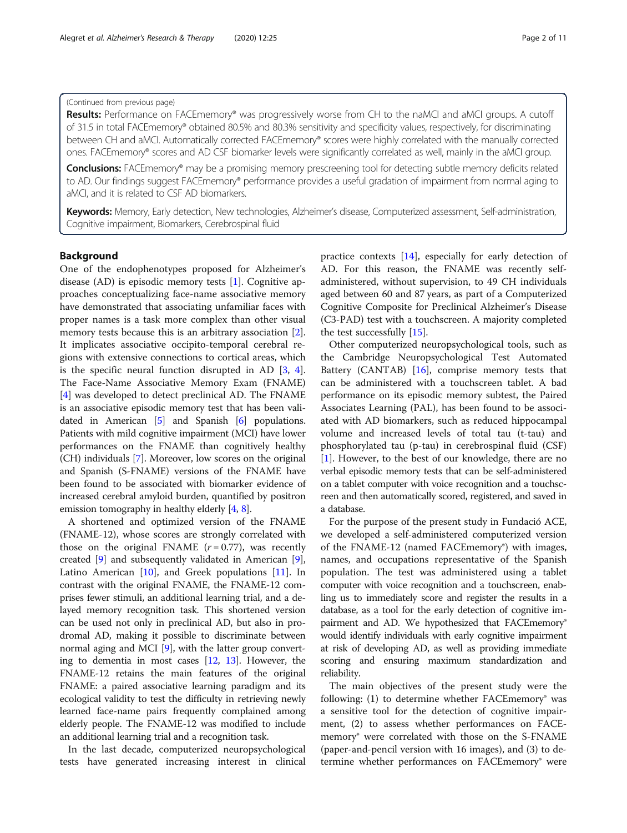#### (Continued from previous page)

Results: Performance on FACEmemory® was progressively worse from CH to the naMCI and aMCI groups. A cutoff of 31.5 in total FACEmemory® obtained 80.5% and 80.3% sensitivity and specificity values, respectively, for discriminating between CH and aMCI. Automatically corrected FACEmemory® scores were highly correlated with the manually corrected ones. FACEmemory® scores and AD CSF biomarker levels were significantly correlated as well, mainly in the aMCI group.

**Conclusions:** FACEmemory® may be a promising memory prescreening tool for detecting subtle memory deficits related to AD. Our findings suggest FACEmemory® performance provides a useful gradation of impairment from normal aging to aMCI, and it is related to CSF AD biomarkers.

Keywords: Memory, Early detection, New technologies, Alzheimer's disease, Computerized assessment, Self-administration, Cognitive impairment, Biomarkers, Cerebrospinal fluid

#### Background

One of the endophenotypes proposed for Alzheimer's disease (AD) is episodic memory tests [\[1](#page-8-0)]. Cognitive approaches conceptualizing face-name associative memory have demonstrated that associating unfamiliar faces with proper names is a task more complex than other visual memory tests because this is an arbitrary association [\[2](#page-9-0)]. It implicates associative occipito-temporal cerebral regions with extensive connections to cortical areas, which is the specific neural function disrupted in AD [\[3](#page-9-0), [4](#page-9-0)]. The Face-Name Associative Memory Exam (FNAME) [[4\]](#page-9-0) was developed to detect preclinical AD. The FNAME is an associative episodic memory test that has been validated in American [\[5](#page-9-0)] and Spanish [[6\]](#page-9-0) populations. Patients with mild cognitive impairment (MCI) have lower performances on the FNAME than cognitively healthy (CH) individuals [\[7\]](#page-9-0). Moreover, low scores on the original and Spanish (S-FNAME) versions of the FNAME have been found to be associated with biomarker evidence of increased cerebral amyloid burden, quantified by positron emission tomography in healthy elderly [[4,](#page-9-0) [8](#page-9-0)].

A shortened and optimized version of the FNAME (FNAME-12), whose scores are strongly correlated with those on the original FNAME  $(r = 0.77)$ , was recently created [\[9](#page-9-0)] and subsequently validated in American [\[9](#page-9-0)], Latino American [[10\]](#page-9-0), and Greek populations [[11\]](#page-9-0). In contrast with the original FNAME, the FNAME-12 comprises fewer stimuli, an additional learning trial, and a delayed memory recognition task. This shortened version can be used not only in preclinical AD, but also in prodromal AD, making it possible to discriminate between normal aging and MCI [\[9](#page-9-0)], with the latter group converting to dementia in most cases [\[12](#page-9-0), [13](#page-9-0)]. However, the FNAME-12 retains the main features of the original FNAME: a paired associative learning paradigm and its ecological validity to test the difficulty in retrieving newly learned face-name pairs frequently complained among elderly people. The FNAME-12 was modified to include an additional learning trial and a recognition task.

In the last decade, computerized neuropsychological tests have generated increasing interest in clinical practice contexts [[14\]](#page-9-0), especially for early detection of AD. For this reason, the FNAME was recently selfadministered, without supervision, to 49 CH individuals aged between 60 and 87 years, as part of a Computerized Cognitive Composite for Preclinical Alzheimer's Disease (C3-PAD) test with a touchscreen. A majority completed the test successfully [[15](#page-9-0)].

Other computerized neuropsychological tools, such as the Cambridge Neuropsychological Test Automated Battery (CANTAB) [\[16\]](#page-9-0), comprise memory tests that can be administered with a touchscreen tablet. A bad performance on its episodic memory subtest, the Paired Associates Learning (PAL), has been found to be associated with AD biomarkers, such as reduced hippocampal volume and increased levels of total tau (t-tau) and phosphorylated tau (p-tau) in cerebrospinal fluid (CSF) [[1\]](#page-8-0). However, to the best of our knowledge, there are no verbal episodic memory tests that can be self-administered on a tablet computer with voice recognition and a touchscreen and then automatically scored, registered, and saved in a database.

For the purpose of the present study in Fundació ACE, we developed a self-administered computerized version of the FNAME-12 (named FACEmemory®) with images, names, and occupations representative of the Spanish population. The test was administered using a tablet computer with voice recognition and a touchscreen, enabling us to immediately score and register the results in a database, as a tool for the early detection of cognitive impairment and AD. We hypothesized that FACEmemory® would identify individuals with early cognitive impairment at risk of developing AD, as well as providing immediate scoring and ensuring maximum standardization and reliability.

The main objectives of the present study were the following: (1) to determine whether FACEmemory<sup>®</sup> was a sensitive tool for the detection of cognitive impairment, (2) to assess whether performances on FACEmemory® were correlated with those on the S-FNAME (paper-and-pencil version with 16 images), and (3) to determine whether performances on FACEmemory<sup>®</sup> were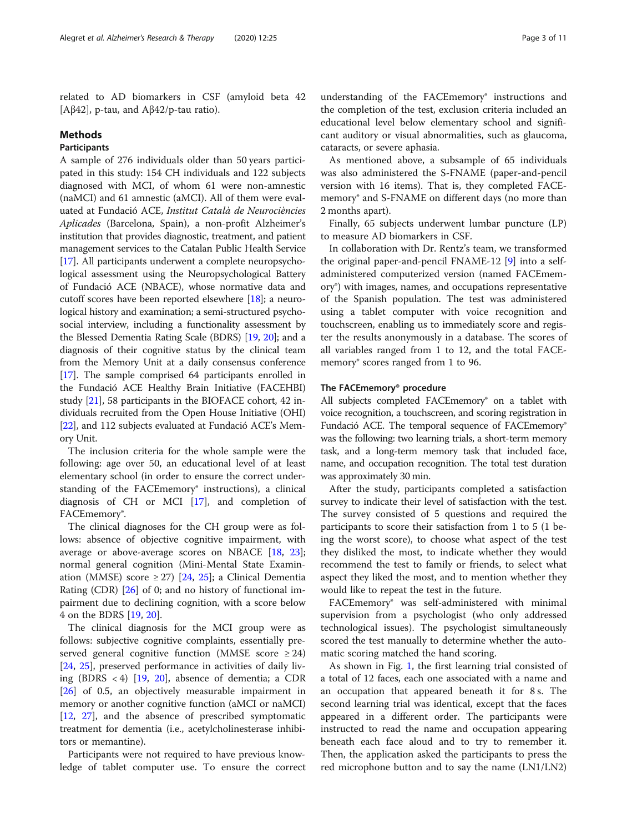related to AD biomarkers in CSF (amyloid beta 42 [Aβ42], p-tau, and Aβ42/p-tau ratio).

#### Methods

#### **Participants**

A sample of 276 individuals older than 50 years participated in this study: 154 CH individuals and 122 subjects diagnosed with MCI, of whom 61 were non-amnestic (naMCI) and 61 amnestic (aMCI). All of them were evaluated at Fundació ACE, Institut Català de Neurociències Aplicades (Barcelona, Spain), a non-profit Alzheimer's institution that provides diagnostic, treatment, and patient management services to the Catalan Public Health Service [[17](#page-9-0)]. All participants underwent a complete neuropsychological assessment using the Neuropsychological Battery of Fundació ACE (NBACE), whose normative data and cutoff scores have been reported elsewhere [[18](#page-9-0)]; a neurological history and examination; a semi-structured psychosocial interview, including a functionality assessment by the Blessed Dementia Rating Scale (BDRS) [\[19](#page-9-0), [20\]](#page-9-0); and a diagnosis of their cognitive status by the clinical team from the Memory Unit at a daily consensus conference [[17](#page-9-0)]. The sample comprised 64 participants enrolled in the Fundació ACE Healthy Brain Initiative (FACEHBI) study [\[21\]](#page-9-0), 58 participants in the BIOFACE cohort, 42 individuals recruited from the Open House Initiative (OHI) [[22](#page-9-0)], and 112 subjects evaluated at Fundació ACE's Memory Unit.

The inclusion criteria for the whole sample were the following: age over 50, an educational level of at least elementary school (in order to ensure the correct understanding of the FACEmemory<sup>®</sup> instructions), a clinical diagnosis of CH or MCI [\[17](#page-9-0)], and completion of FACEmemory®.

The clinical diagnoses for the CH group were as follows: absence of objective cognitive impairment, with average or above-average scores on NBACE [[18,](#page-9-0) [23](#page-9-0)]; normal general cognition (Mini-Mental State Examination (MMSE) score  $\geq$  27) [[24,](#page-9-0) [25](#page-9-0)]; a Clinical Dementia Rating (CDR) [[26\]](#page-9-0) of 0; and no history of functional impairment due to declining cognition, with a score below 4 on the BDRS [[19,](#page-9-0) [20\]](#page-9-0).

The clinical diagnosis for the MCI group were as follows: subjective cognitive complaints, essentially preserved general cognitive function (MMSE score  $\geq 24$ ) [[24,](#page-9-0) [25](#page-9-0)], preserved performance in activities of daily living (BDRS < 4)  $[19, 20]$  $[19, 20]$  $[19, 20]$  $[19, 20]$ , absence of dementia; a CDR [[26\]](#page-9-0) of 0.5, an objectively measurable impairment in memory or another cognitive function (aMCI or naMCI) [[12,](#page-9-0) [27](#page-9-0)], and the absence of prescribed symptomatic treatment for dementia (i.e., acetylcholinesterase inhibitors or memantine).

Participants were not required to have previous knowledge of tablet computer use. To ensure the correct

understanding of the FACEmemory<sup>®</sup> instructions and the completion of the test, exclusion criteria included an educational level below elementary school and significant auditory or visual abnormalities, such as glaucoma, cataracts, or severe aphasia.

As mentioned above, a subsample of 65 individuals was also administered the S-FNAME (paper-and-pencil version with 16 items). That is, they completed FACEmemory® and S-FNAME on different days (no more than 2 months apart).

Finally, 65 subjects underwent lumbar puncture (LP) to measure AD biomarkers in CSF.

In collaboration with Dr. Rentz's team, we transformed the original paper-and-pencil FNAME-12 [[9](#page-9-0)] into a selfadministered computerized version (named FACEmemory®) with images, names, and occupations representative of the Spanish population. The test was administered using a tablet computer with voice recognition and touchscreen, enabling us to immediately score and register the results anonymously in a database. The scores of all variables ranged from 1 to 12, and the total FACEmemory<sup>®</sup> scores ranged from 1 to 96.

#### The FACEmemory® procedure

All subjects completed FACEmemory<sup>®</sup> on a tablet with voice recognition, a touchscreen, and scoring registration in Fundació ACE. The temporal sequence of FACEmemory® was the following: two learning trials, a short-term memory task, and a long-term memory task that included face, name, and occupation recognition. The total test duration was approximately 30 min.

After the study, participants completed a satisfaction survey to indicate their level of satisfaction with the test. The survey consisted of 5 questions and required the participants to score their satisfaction from 1 to 5 (1 being the worst score), to choose what aspect of the test they disliked the most, to indicate whether they would recommend the test to family or friends, to select what aspect they liked the most, and to mention whether they would like to repeat the test in the future.

FACEmemory® was self-administered with minimal supervision from a psychologist (who only addressed technological issues). The psychologist simultaneously scored the test manually to determine whether the automatic scoring matched the hand scoring.

As shown in Fig. [1](#page-3-0), the first learning trial consisted of a total of 12 faces, each one associated with a name and an occupation that appeared beneath it for 8 s. The second learning trial was identical, except that the faces appeared in a different order. The participants were instructed to read the name and occupation appearing beneath each face aloud and to try to remember it. Then, the application asked the participants to press the red microphone button and to say the name (LN1/LN2)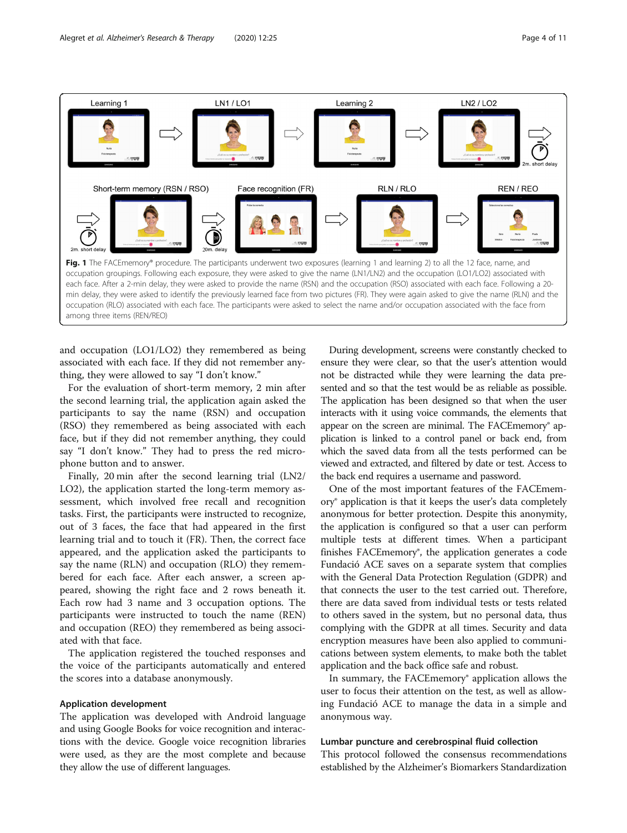<span id="page-3-0"></span>

and occupation (LO1/LO2) they remembered as being associated with each face. If they did not remember anything, they were allowed to say "I don't know."

For the evaluation of short-term memory, 2 min after the second learning trial, the application again asked the participants to say the name (RSN) and occupation (RSO) they remembered as being associated with each face, but if they did not remember anything, they could say "I don't know." They had to press the red microphone button and to answer.

Finally, 20 min after the second learning trial (LN2/ LO2), the application started the long-term memory assessment, which involved free recall and recognition tasks. First, the participants were instructed to recognize, out of 3 faces, the face that had appeared in the first learning trial and to touch it (FR). Then, the correct face appeared, and the application asked the participants to say the name (RLN) and occupation (RLO) they remembered for each face. After each answer, a screen appeared, showing the right face and 2 rows beneath it. Each row had 3 name and 3 occupation options. The participants were instructed to touch the name (REN) and occupation (REO) they remembered as being associated with that face.

The application registered the touched responses and the voice of the participants automatically and entered the scores into a database anonymously.

#### Application development

The application was developed with Android language and using Google Books for voice recognition and interactions with the device. Google voice recognition libraries were used, as they are the most complete and because they allow the use of different languages.

During development, screens were constantly checked to ensure they were clear, so that the user's attention would not be distracted while they were learning the data presented and so that the test would be as reliable as possible. The application has been designed so that when the user interacts with it using voice commands, the elements that appear on the screen are minimal. The FACEmemory® application is linked to a control panel or back end, from which the saved data from all the tests performed can be viewed and extracted, and filtered by date or test. Access to the back end requires a username and password.

One of the most important features of the FACEmemory® application is that it keeps the user's data completely anonymous for better protection. Despite this anonymity, the application is configured so that a user can perform multiple tests at different times. When a participant finishes FACEmemory®, the application generates a code Fundació ACE saves on a separate system that complies with the General Data Protection Regulation (GDPR) and that connects the user to the test carried out. Therefore, there are data saved from individual tests or tests related to others saved in the system, but no personal data, thus complying with the GDPR at all times. Security and data encryption measures have been also applied to communications between system elements, to make both the tablet application and the back office safe and robust.

In summary, the FACEmemory® application allows the user to focus their attention on the test, as well as allowing Fundació ACE to manage the data in a simple and anonymous way.

#### Lumbar puncture and cerebrospinal fluid collection

This protocol followed the consensus recommendations established by the Alzheimer's Biomarkers Standardization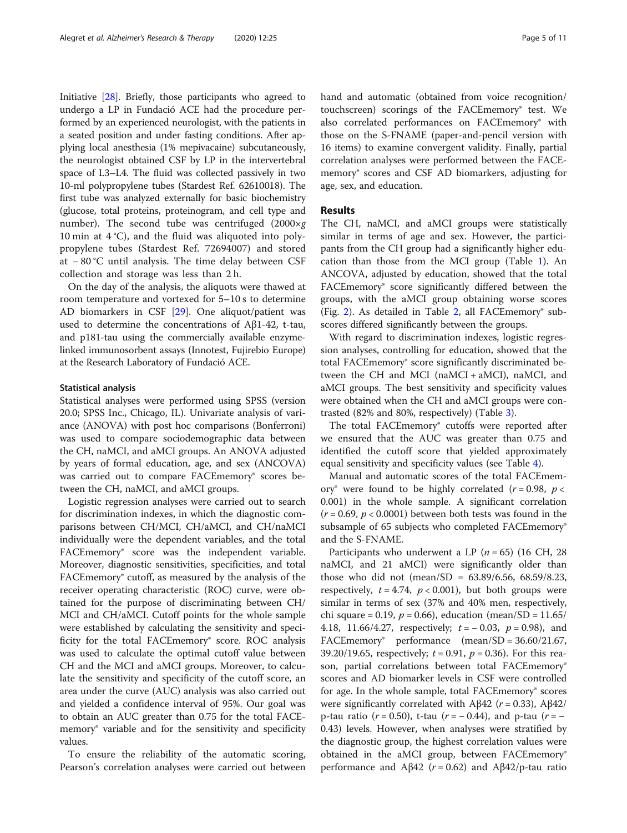Initiative [[28](#page-9-0)]. Briefly, those participants who agreed to undergo a LP in Fundació ACE had the procedure performed by an experienced neurologist, with the patients in a seated position and under fasting conditions. After applying local anesthesia (1% mepivacaine) subcutaneously, the neurologist obtained CSF by LP in the intervertebral space of L3–L4. The fluid was collected passively in two 10-ml polypropylene tubes (Stardest Ref. 62610018). The first tube was analyzed externally for basic biochemistry (glucose, total proteins, proteinogram, and cell type and number). The second tube was centrifuged  $(2000 \times g)$ 10 min at  $4^{\circ}$ C), and the fluid was aliquoted into polypropylene tubes (Stardest Ref. 72694007) and stored at − 80 °C until analysis. The time delay between CSF collection and storage was less than 2 h.

On the day of the analysis, the aliquots were thawed at room temperature and vortexed for 5–10 s to determine AD biomarkers in CSF [\[29](#page-9-0)]. One aliquot/patient was used to determine the concentrations of  $Aβ1-42$ , t-tau, and p181-tau using the commercially available enzymelinked immunosorbent assays (Innotest, Fujirebio Europe) at the Research Laboratory of Fundació ACE.

#### Statistical analysis

Statistical analyses were performed using SPSS (version 20.0; SPSS Inc., Chicago, IL). Univariate analysis of variance (ANOVA) with post hoc comparisons (Bonferroni) was used to compare sociodemographic data between the CH, naMCI, and aMCI groups. An ANOVA adjusted by years of formal education, age, and sex (ANCOVA) was carried out to compare FACEmemory® scores between the CH, naMCI, and aMCI groups.

Logistic regression analyses were carried out to search for discrimination indexes, in which the diagnostic comparisons between CH/MCI, CH/aMCI, and CH/naMCI individually were the dependent variables, and the total FACEmemory® score was the independent variable. Moreover, diagnostic sensitivities, specificities, and total FACEmemory® cutoff, as measured by the analysis of the receiver operating characteristic (ROC) curve, were obtained for the purpose of discriminating between CH/ MCI and CH/aMCI. Cutoff points for the whole sample were established by calculating the sensitivity and specificity for the total FACEmemory® score. ROC analysis was used to calculate the optimal cutoff value between CH and the MCI and aMCI groups. Moreover, to calculate the sensitivity and specificity of the cutoff score, an area under the curve (AUC) analysis was also carried out and yielded a confidence interval of 95%. Our goal was to obtain an AUC greater than 0.75 for the total FACEmemory® variable and for the sensitivity and specificity values.

To ensure the reliability of the automatic scoring, Pearson's correlation analyses were carried out between hand and automatic (obtained from voice recognition/ touchscreen) scorings of the FACEmemory® test. We also correlated performances on FACEmemory<sup>®</sup> with those on the S-FNAME (paper-and-pencil version with 16 items) to examine convergent validity. Finally, partial correlation analyses were performed between the FACEmemory® scores and CSF AD biomarkers, adjusting for age, sex, and education.

#### Results

The CH, naMCI, and aMCI groups were statistically similar in terms of age and sex. However, the participants from the CH group had a significantly higher education than those from the MCI group (Table [1\)](#page-5-0). An ANCOVA, adjusted by education, showed that the total FACEmemory® score significantly differed between the groups, with the aMCI group obtaining worse scores (Fig. [2](#page-5-0)). As detailed in Table [2,](#page-6-0) all FACEmemory<sup>®</sup> subscores differed significantly between the groups.

With regard to discrimination indexes, logistic regression analyses, controlling for education, showed that the total FACEmemory® score significantly discriminated between the CH and MCI ( $naMCI + aMCI$ ),  $naMCI$ , and aMCI groups. The best sensitivity and specificity values were obtained when the CH and aMCI groups were contrasted (82% and 80%, respectively) (Table [3\)](#page-6-0).

The total FACEmemory® cutoffs were reported after we ensured that the AUC was greater than 0.75 and identified the cutoff score that yielded approximately equal sensitivity and specificity values (see Table [4](#page-6-0)).

Manual and automatic scores of the total FACEmemory® were found to be highly correlated ( $r = 0.98$ ,  $p <$ 0.001) in the whole sample. A significant correlation  $(r = 0.69, p < 0.0001)$  between both tests was found in the subsample of 65 subjects who completed FACEmemory® and the S-FNAME.

Participants who underwent a LP ( $n = 65$ ) (16 CH, 28 naMCI, and 21 aMCI) were significantly older than those who did not (mean/SD =  $63.89/6.56$ ,  $68.59/8.23$ , respectively,  $t = 4.74$ ,  $p < 0.001$ ), but both groups were similar in terms of sex (37% and 40% men, respectively, chi square = 0.19,  $p = 0.66$ ), education (mean/SD = 11.65/ 4.18, 11.66/4.27, respectively;  $t = -0.03$ ,  $p = 0.98$ ), and FACEmemory® performance (mean/SD = 36.60/21.67, 39.20/19.65, respectively;  $t = 0.91$ ,  $p = 0.36$ ). For this reason, partial correlations between total FACEmemory® scores and AD biomarker levels in CSF were controlled for age. In the whole sample, total FACEmemory<sup>®</sup> scores were significantly correlated with Aβ42 ( $r = 0.33$ ), Aβ42/ p-tau ratio ( $r = 0.50$ ), t-tau ( $r = -0.44$ ), and p-tau ( $r = -$ 0.43) levels. However, when analyses were stratified by the diagnostic group, the highest correlation values were obtained in the aMCI group, between FACEmemory® performance and Aβ42 ( $r = 0.62$ ) and Aβ42/p-tau ratio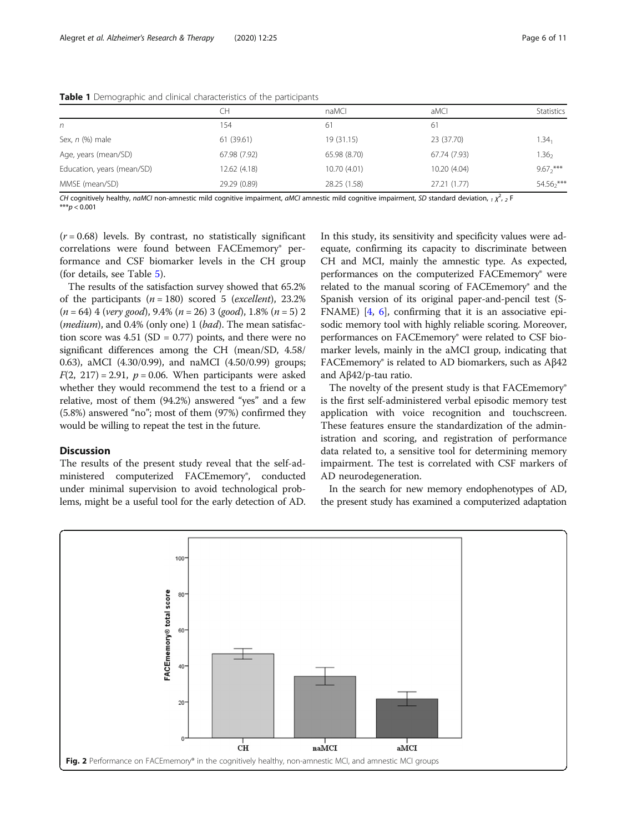|                            | CН           | naMCI        | aMCI         | <b>Statistics</b> |
|----------------------------|--------------|--------------|--------------|-------------------|
| n                          | 154          | 61           | -61          |                   |
| Sex, $n$ (%) male          | 61 (39.61)   | 19(31.15)    | 23 (37.70)   | $1.34_1$          |
| Age, years (mean/SD)       | 67.98 (7.92) | 65.98 (8.70) | 67.74 (7.93) | .36 <sub>2</sub>  |
| Education, years (mean/SD) | 12.62(4.18)  | 10.70 (4.01) | 10.20 (4.04) | $9.67^{***}$      |
| MMSE (mean/SD)             | 29.29 (0.89) | 28.25 (1.58) | 27.21 (1.77) | $54.56^{***}$     |

<span id="page-5-0"></span>Table 1 Demographic and clinical characteristics of the participants

CH cognitively healthy, naMCI non-amnestic mild cognitive impairment, aMCI amnestic mild cognitive impairment, SD standard deviation, <sub>1</sub>  $\chi^2$ , <sub>2</sub> F \*\*\* $p < 0.001$ 

 $(r = 0.68)$  levels. By contrast, no statistically significant correlations were found between FACEmemory<sup>®</sup> performance and CSF biomarker levels in the CH group (for details, see Table [5\)](#page-7-0).

The results of the satisfaction survey showed that 65.2% of the participants  $(n = 180)$  scored 5 (excellent), 23.2%  $(n = 64)$  4 (very good), 9.4%  $(n = 26)$  3 (good), 1.8%  $(n = 5)$  2 (*medium*), and  $0.4\%$  (only one) 1 (*bad*). The mean satisfaction score was  $4.51$  (SD = 0.77) points, and there were no significant differences among the CH (mean/SD, 4.58/ 0.63), aMCI (4.30/0.99), and naMCI (4.50/0.99) groups;  $F(2, 217) = 2.91$ ,  $p = 0.06$ . When participants were asked whether they would recommend the test to a friend or a relative, most of them (94.2%) answered "yes" and a few (5.8%) answered "no"; most of them (97%) confirmed they would be willing to repeat the test in the future.

#### Discussion

The results of the present study reveal that the self-administered computerized FACEmemory®, conducted under minimal supervision to avoid technological problems, might be a useful tool for the early detection of AD.

In this study, its sensitivity and specificity values were adequate, confirming its capacity to discriminate between CH and MCI, mainly the amnestic type. As expected, performances on the computerized FACEmemory® were related to the manual scoring of FACEmemory® and the Spanish version of its original paper-and-pencil test (S-FNAME) [[4,](#page-9-0) [6\]](#page-9-0), confirming that it is an associative episodic memory tool with highly reliable scoring. Moreover, performances on FACEmemory® were related to CSF biomarker levels, mainly in the aMCI group, indicating that FACEmemory® is related to AD biomarkers, such as Aβ42 and Aβ42/p-tau ratio.

The novelty of the present study is that FACEmemory® is the first self-administered verbal episodic memory test application with voice recognition and touchscreen. These features ensure the standardization of the administration and scoring, and registration of performance data related to, a sensitive tool for determining memory impairment. The test is correlated with CSF markers of AD neurodegeneration.

In the search for new memory endophenotypes of AD, the present study has examined a computerized adaptation

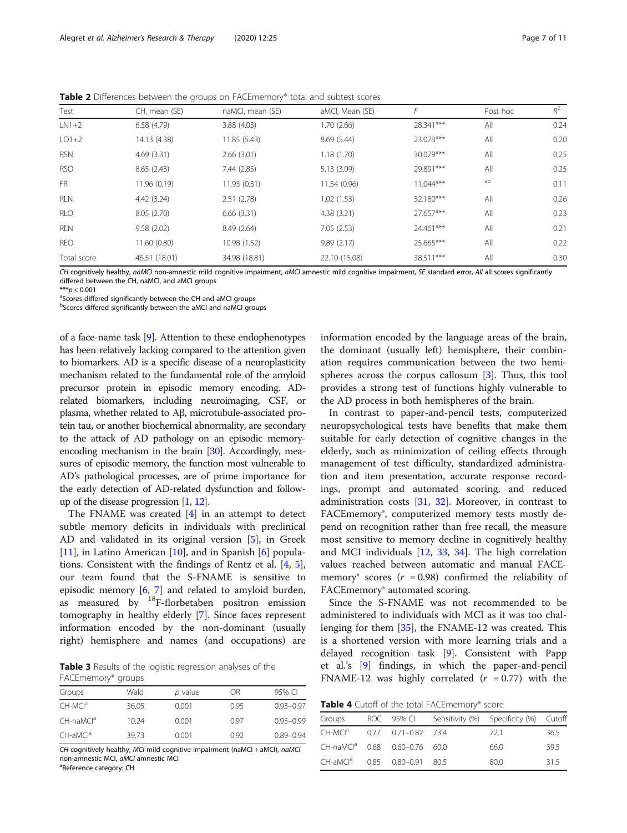<span id="page-6-0"></span>

| <b>Table 2</b> Differences between the groups on FACEmemory® total and subtest scores |  |
|---------------------------------------------------------------------------------------|--|
|                                                                                       |  |

| Test        | CH, mean (SE) | naMCI, mean (SE) | aMCI, Mean (SE) | F           | Post hoc | $R^2$ |
|-------------|---------------|------------------|-----------------|-------------|----------|-------|
| $LN1+2$     | 6.58(4.79)    | 3.88(4.03)       | 1.70(2.66)      | 28.341***   | All      | 0.24  |
| $LO1+2$     | 14.13 (4.38)  | 11.85(5.43)      | 8.69(5.44)      | 23.073***   | All      | 0.20  |
| <b>RSN</b>  | 4.69(3.31)    | 2.66(3.01)       | 1.18(1.70)      | 30.079***   | All      | 0.25  |
| <b>RSO</b>  | 8.65(2.43)    | 7.44(2.85)       | 5.13(3.09)      | 29.891***   | All      | 0.25  |
| <b>FR</b>   | 11.96 (0.19)  | 11.93(0.31)      | 11.54 (0.96)    | $11.044***$ | ab       | 0.11  |
| RLN         | 4.42(3.24)    | 2.51(2.78)       | 1.02(1.53)      | 32.180***   | All      | 0.26  |
| <b>RLO</b>  | 8.05 (2.70)   | 6.66(3.31)       | 4.38(3.21)      | 27.657***   | All      | 0.23  |
| <b>REN</b>  | 9.58(2.02)    | 8.49 (2.64)      | 7.05(2.53)      | 24.461***   | All      | 0.21  |
| <b>REO</b>  | 11.60(0.80)   | 10.98 (1.52)     | 9.89(2.17)      | 25.665***   | All      | 0.22  |
| Total score | 46.51 (18.01) | 34.98 (18.81)    | 22.10 (15.08)   | 38.511***   | All      | 0.30  |

CH cognitively healthy, naMCI non-amnestic mild cognitive impairment, aMCI amnestic mild cognitive impairment, SE standard error, All all scores significantly differed between the CH, naMCI, and aMCI groups

 $***p < 0.001$ 

<sup>a</sup>Scores differed significantly between the CH and aMCI groups

b Scores differed significantly between the aMCI and naMCI groups

of a face-name task [\[9\]](#page-9-0). Attention to these endophenotypes has been relatively lacking compared to the attention given to biomarkers. AD is a specific disease of a neuroplasticity mechanism related to the fundamental role of the amyloid precursor protein in episodic memory encoding. ADrelated biomarkers, including neuroimaging, CSF, or plasma, whether related to Aβ, microtubule-associated protein tau, or another biochemical abnormality, are secondary to the attack of AD pathology on an episodic memoryencoding mechanism in the brain [\[30\]](#page-9-0). Accordingly, measures of episodic memory, the function most vulnerable to AD's pathological processes, are of prime importance for the early detection of AD-related dysfunction and followup of the disease progression [[1](#page-8-0), [12](#page-9-0)].

The FNAME was created [\[4](#page-9-0)] in an attempt to detect subtle memory deficits in individuals with preclinical AD and validated in its original version [[5\]](#page-9-0), in Greek [[11\]](#page-9-0), in Latino American  $[10]$  $[10]$ , and in Spanish  $[6]$  $[6]$  populations. Consistent with the findings of Rentz et al. [[4,](#page-9-0) [5](#page-9-0)], our team found that the S-FNAME is sensitive to episodic memory [\[6](#page-9-0), [7\]](#page-9-0) and related to amyloid burden, as measured by  $^{18}$ F-florbetaben positron emission tomography in healthy elderly [\[7](#page-9-0)]. Since faces represent information encoded by the non-dominant (usually right) hemisphere and names (and occupations) are

Table 3 Results of the logistic regression analyses of the FACEmemory® groups

| Groups                | Wald  | p value | ΟR   | 95% CI        |
|-----------------------|-------|---------|------|---------------|
| CH-MCI <sup>a</sup>   | 36.05 | 0.001   | O 95 | $0.93 - 0.97$ |
| CH-naMCl <sup>a</sup> | 10.24 | 0.001   | O 97 | $0.95 - 0.99$ |
| $CH$ -aM $Cla$        | 39.73 | 0.001   | 0.92 | $0.89 - 0.94$ |

CH cognitively healthy, MCI mild cognitive impairment (naMCI + aMCI), naMCI non-amnestic MCI, aMCI amnestic MCI

Reference category: CH

information encoded by the language areas of the brain, the dominant (usually left) hemisphere, their combination requires communication between the two hemispheres across the corpus callosum [[3\]](#page-9-0). Thus, this tool provides a strong test of functions highly vulnerable to the AD process in both hemispheres of the brain.

In contrast to paper-and-pencil tests, computerized neuropsychological tests have benefits that make them suitable for early detection of cognitive changes in the elderly, such as minimization of ceiling effects through management of test difficulty, standardized administration and item presentation, accurate response recordings, prompt and automated scoring, and reduced administration costs [[31,](#page-9-0) [32](#page-9-0)]. Moreover, in contrast to FACEmemory<sup>®</sup>, computerized memory tests mostly depend on recognition rather than free recall, the measure most sensitive to memory decline in cognitively healthy and MCI individuals [\[12,](#page-9-0) [33](#page-9-0), [34\]](#page-9-0). The high correlation values reached between automatic and manual FACEmemory® scores ( $r = 0.98$ ) confirmed the reliability of FACEmemory® automated scoring.

Since the S-FNAME was not recommended to be administered to individuals with MCI as it was too challenging for them [[35\]](#page-9-0), the FNAME-12 was created. This is a shortened version with more learning trials and a delayed recognition task [[9\]](#page-9-0). Consistent with Papp et al.'s [[9\]](#page-9-0) findings, in which the paper-and-pencil FNAME-12 was highly correlated  $(r = 0.77)$  with the

Table 4 Cutoff of the total FACEmemory® score

| Groups                                    |  | ROC 95% CI Sensitivity (%) Specificity (%) Cutoff |      |
|-------------------------------------------|--|---------------------------------------------------|------|
| CH-MCl <sup>a</sup> 0.77 0.71-0.82 73.4   |  | - 72 1                                            | 36.5 |
| CH-naMCl <sup>a</sup> 0.68 0.60-0.76 60.0 |  | 66.0                                              | 39.5 |
| CH-aMCl <sup>a</sup> 0.85 0.80-0.91 80.5  |  | 80.0                                              | 315  |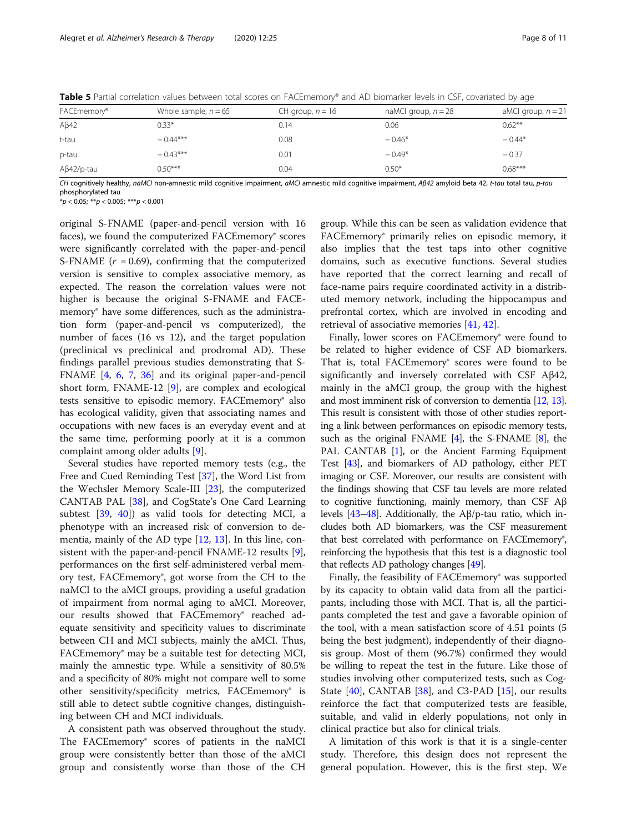| aMCI group, $n = 21$ |
|----------------------|
|                      |
| $0.62***$            |
| $-0.44*$             |
| $-0.37$              |
| $0.68***$            |
|                      |

<span id="page-7-0"></span>Table 5 Partial correlation values between total scores on FACEmemory® and AD biomarker levels in CSF, covariated by age

CH cognitively healthy, naMCI non-amnestic mild cognitive impairment, aMCI amnestic mild cognitive impairment, Aβ42 amyloid beta 42, t-tau total tau, p-tau phosphorylated tau

 $*p < 0.05; **p < 0.005; ***p < 0.001$ 

original S-FNAME (paper-and-pencil version with 16 faces), we found the computerized FACEmemory® scores were significantly correlated with the paper-and-pencil S-FNAME  $(r = 0.69)$ , confirming that the computerized version is sensitive to complex associative memory, as expected. The reason the correlation values were not higher is because the original S-FNAME and FACEmemory® have some differences, such as the administration form (paper-and-pencil vs computerized), the number of faces (16 vs 12), and the target population (preclinical vs preclinical and prodromal AD). These findings parallel previous studies demonstrating that S-FNAME [[4,](#page-9-0) [6](#page-9-0), [7,](#page-9-0) [36\]](#page-9-0) and its original paper-and-pencil short form, FNAME-12 [\[9](#page-9-0)], are complex and ecological tests sensitive to episodic memory. FACEmemory® also has ecological validity, given that associating names and occupations with new faces is an everyday event and at the same time, performing poorly at it is a common complaint among older adults [[9\]](#page-9-0).

Several studies have reported memory tests (e.g., the Free and Cued Reminding Test [[37](#page-9-0)], the Word List from the Wechsler Memory Scale-III [[23\]](#page-9-0), the computerized CANTAB PAL [[38\]](#page-9-0), and CogState's One Card Learning subtest [\[39](#page-9-0), [40\]](#page-9-0)) as valid tools for detecting MCI, a phenotype with an increased risk of conversion to dementia, mainly of the AD type [[12](#page-9-0), [13\]](#page-9-0). In this line, consistent with the paper-and-pencil FNAME-12 results [\[9](#page-9-0)], performances on the first self-administered verbal memory test, FACEmemory®, got worse from the CH to the naMCI to the aMCI groups, providing a useful gradation of impairment from normal aging to aMCI. Moreover, our results showed that FACEmemory® reached adequate sensitivity and specificity values to discriminate between CH and MCI subjects, mainly the aMCI. Thus, FACEmemory® may be a suitable test for detecting MCI, mainly the amnestic type. While a sensitivity of 80.5% and a specificity of 80% might not compare well to some other sensitivity/specificity metrics, FACEmemory<sup>®</sup> is still able to detect subtle cognitive changes, distinguishing between CH and MCI individuals.

A consistent path was observed throughout the study. The FACEmemory® scores of patients in the naMCI group were consistently better than those of the aMCI group and consistently worse than those of the CH

group. While this can be seen as validation evidence that FACEmemory® primarily relies on episodic memory, it also implies that the test taps into other cognitive domains, such as executive functions. Several studies have reported that the correct learning and recall of face-name pairs require coordinated activity in a distributed memory network, including the hippocampus and prefrontal cortex, which are involved in encoding and retrieval of associative memories [\[41](#page-9-0), [42](#page-9-0)].

Finally, lower scores on FACEmemory® were found to be related to higher evidence of CSF AD biomarkers. That is, total FACEmemory® scores were found to be significantly and inversely correlated with CSF Aβ42, mainly in the aMCI group, the group with the highest and most imminent risk of conversion to dementia [\[12](#page-9-0), [13](#page-9-0)]. This result is consistent with those of other studies reporting a link between performances on episodic memory tests, such as the original FNAME  $[4]$  $[4]$  $[4]$ , the S-FNAME  $[8]$ , the PAL CANTAB [\[1\]](#page-8-0), or the Ancient Farming Equipment Test [\[43](#page-9-0)], and biomarkers of AD pathology, either PET imaging or CSF. Moreover, our results are consistent with the findings showing that CSF tau levels are more related to cognitive functioning, mainly memory, than CSF Aβ levels [[43](#page-9-0)–[48](#page-10-0)]. Additionally, the Aβ/p-tau ratio, which includes both AD biomarkers, was the CSF measurement that best correlated with performance on FACEmemory<sup>®</sup>, reinforcing the hypothesis that this test is a diagnostic tool that reflects AD pathology changes [\[49](#page-10-0)].

Finally, the feasibility of FACEmemory<sup>®</sup> was supported by its capacity to obtain valid data from all the participants, including those with MCI. That is, all the participants completed the test and gave a favorable opinion of the tool, with a mean satisfaction score of 4.51 points (5 being the best judgment), independently of their diagnosis group. Most of them (96.7%) confirmed they would be willing to repeat the test in the future. Like those of studies involving other computerized tests, such as Cog-State  $[40]$  $[40]$  $[40]$ , CANTAB  $[38]$ , and C3-PAD  $[15]$  $[15]$ , our results reinforce the fact that computerized tests are feasible, suitable, and valid in elderly populations, not only in clinical practice but also for clinical trials.

A limitation of this work is that it is a single-center study. Therefore, this design does not represent the general population. However, this is the first step. We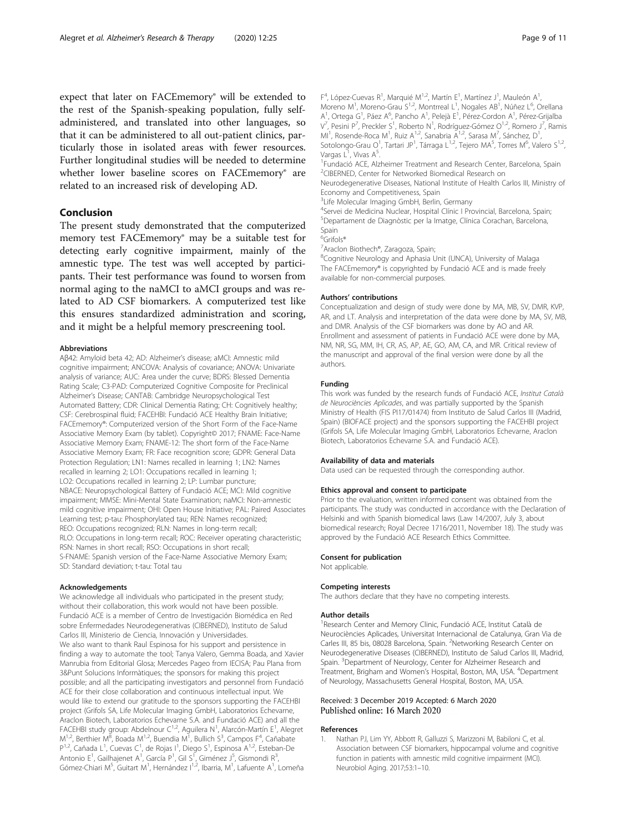<span id="page-8-0"></span>expect that later on FACEmemory® will be extended to the rest of the Spanish-speaking population, fully selfadministered, and translated into other languages, so that it can be administered to all out-patient clinics, particularly those in isolated areas with fewer resources. Further longitudinal studies will be needed to determine whether lower baseline scores on FACEmemory® are related to an increased risk of developing AD.

#### Conclusion

The present study demonstrated that the computerized memory test FACEmemory® may be a suitable test for detecting early cognitive impairment, mainly of the amnestic type. The test was well accepted by participants. Their test performance was found to worsen from normal aging to the naMCI to aMCI groups and was related to AD CSF biomarkers. A computerized test like this ensures standardized administration and scoring, and it might be a helpful memory prescreening tool.

#### Abbreviations

Aβ42: Amyloid beta 42; AD: Alzheimer's disease; aMCI: Amnestic mild cognitive impairment; ANCOVA: Analysis of covariance; ANOVA: Univariate analysis of variance; AUC: Area under the curve; BDRS: Blessed Dementia Rating Scale; C3-PAD: Computerized Cognitive Composite for Preclinical Alzheimer's Disease; CANTAB: Cambridge Neuropsychological Test Automated Battery; CDR: Clinical Dementia Rating; CH: Cognitively healthy; CSF: Cerebrospinal fluid; FACEHBI: Fundació ACE Healthy Brain Initiative; FACEmemory®: Computerized version of the Short Form of the Face-Name Associative Memory Exam (by tablet). Copyright© 2017; FNAME: Face-Name Associative Memory Exam; FNAME-12: The short form of the Face-Name Associative Memory Exam; FR: Face recognition score; GDPR: General Data Protection Regulation; LN1: Names recalled in learning 1; LN2: Names recalled in learning 2; LO1: Occupations recalled in learning 1; LO2: Occupations recalled in learning 2; LP: Lumbar puncture; NBACE: Neuropsychological Battery of Fundació ACE; MCI: Mild cognitive impairment; MMSE: Mini-Mental State Examination; naMCI: Non-amnestic mild cognitive impairment; OHI: Open House Initiative; PAL: Paired Associates Learning test; p-tau: Phosphorylated tau; REN: Names recognized; REO: Occupations recognized; RLN: Names in long-term recall; RLO: Occupations in long-term recall; ROC: Receiver operating characteristic; RSN: Names in short recall; RSO: Occupations in short recall; S-FNAME: Spanish version of the Face-Name Associative Memory Exam; SD: Standard deviation; t-tau: Total tau

#### Acknowledgements

We acknowledge all individuals who participated in the present study; without their collaboration, this work would not have been possible. Fundació ACE is a member of Centro de Investigación Biomédica en Red sobre Enfermedades Neurodegenerativas (CIBERNED), Instituto de Salud Carlos III, Ministerio de Ciencia, Innovación y Universidades. We also want to thank Raul Espinosa for his support and persistence in finding a way to automate the tool; Tanya Valero, Gemma Boada, and Xavier Manrubia from Editorial Glosa; Mercedes Pageo from IECISA; Pau Plana from 3&Punt Solucions Informàtiques; the sponsors for making this project possible; and all the participating investigators and personnel from Fundació ACE for their close collaboration and continuous intellectual input. We would like to extend our gratitude to the sponsors supporting the FACEHBI project (Grifols SA, Life Molecular Imaging GmbH, Laboratorios Echevarne, Araclon Biotech, Laboratorios Echevarne S.A. and Fundació ACE) and all the FACEHBI study group: Abdelnour C<sup>1,2</sup>, Aguilera N<sup>1</sup>, Alarcón-Martín E<sup>1</sup>, Alegret M<sup>1,2</sup>, Berthier <sup>'M8</sup>, Boada M<sup>1,2</sup>, Buendia M<sup>1</sup>, Bullich S<sup>3</sup>, Campos F<sup>4</sup>, Cañabate<br>P<sup>1,2</sup>, Cañada L<sup>1</sup>, Cuevas C<sup>1</sup>, de Rojas I<sup>1</sup>, Diego S<sup>1</sup>, Espinosa A<sup>1,2</sup>, Esteban-De Antonio E<sup>1</sup>, Gailhajenet A<sup>1</sup>, García P<sup>1</sup>, Gil S<sup>ī</sup>, Giménez J<sup>5</sup>, Gismondi R<sup>3</sup> , Gómez-Chiari M<sup>5</sup>, Guitart M<sup>1</sup>, Hernández I<sup>1,2</sup>, Ibarria, M<sup>1</sup>, Lafuente A<sup>1</sup>, Lomeña

 $F^4$ , López-Cuevas R<sup>1</sup>, Marquié M<sup>1,2</sup>, Martín E<sup>1</sup>, Martínez J<sup>1</sup>, Mauleón A<sup>1</sup> , Moreno M<sup>1</sup>, Moreno-Grau S<sup>1,2</sup>, Montrreal L<sup>1</sup>, Nogales AB<sup>1</sup>, Núñez L<sup>6</sup>, Orellana A<sup>1</sup>, Ortega G<sup>1</sup>, Páez A<sup>6</sup>, Pancho A<sup>1</sup>, Pelejà E<sup>1</sup>, Pérez-Cordon A<sup>1</sup>, Pérez-Grijalba V<sup>7</sup>, Pesini P<sup>7</sup>, Preckler S<sup>1</sup>, Roberto N<sup>1</sup>, Rodríguez-Gómez O<sup>1,2</sup>, Romero J<sup>7</sup>, Ramis MI<sup>1</sup>, Rosende-Roca M<sup>1</sup>, Ruiz A<sup>1,2</sup>, Sanabria A<sup>1,2</sup>, Sarasa M<sup>7</sup>, Sánchez, D<sup>1</sup> , Sotolongo-Grau O<sup>1</sup>, Tartari JP<sup>1</sup>, Tárraga L<sup>1,2</sup>, Tejero MA<sup>5</sup>, Torres M<sup>6</sup>, Valero S<sup>1,2</sup> Vargas L<sup>1</sup>, Vivas A<sup>5</sup>.<br><sup>1</sup>Eundació ACE Alz <sup>1</sup> Fundació ACE, Alzheimer Treatment and Research Center, Barcelona, Spain 2 CIBERNED, Center for Networked Biomedical Research on Neurodegenerative Diseases, National Institute of Health Carlos III, Ministry of Economy and Competitiveness, Spain

<sup>3</sup>Life Molecular Imaging GmbH, Berlin, Germany

<sup>4</sup>Servei de Medicina Nuclear, Hospital Clínic I Provincial, Barcelona, Spain 5 Departament de Diagnòstic per la Imatge, Clínica Corachan, Barcelona, Spain

6 Grifols®

7 Araclon Biothech®, Zaragoza, Spain;

<sup>8</sup>Cognitive Neurology and Aphasia Unit (UNCA), University of Malaga The FACEmemory® is copyrighted by Fundació ACE and is made freely available for non-commercial purposes.

#### Authors' contributions

Conceptualization and design of study were done by MA, MB, SV, DMR, KVP, AR, and LT. Analysis and interpretation of the data were done by MA, SV, MB, and DMR. Analysis of the CSF biomarkers was done by AO and AR. Enrollment and assessment of patients in Fundació ACE were done by MA, NM, NR, SG, MM, IH, CR, AS, AP, AE, GO, AM, CA, and MR. Critical review of the manuscript and approval of the final version were done by all the authors.

#### Funding

This work was funded by the research funds of Fundació ACE, Institut Català de Neurociències Aplicades, and was partially supported by the Spanish Ministry of Health (FIS PI17/01474) from Instituto de Salud Carlos III (Madrid, Spain) (BIOFACE project) and the sponsors supporting the FACEHBI project (Grifols SA, Life Molecular Imaging GmbH, Laboratorios Echevarne, Araclon Biotech, Laboratorios Echevarne S.A. and Fundació ACE).

#### Availability of data and materials

Data used can be requested through the corresponding author.

#### Ethics approval and consent to participate

Prior to the evaluation, written informed consent was obtained from the participants. The study was conducted in accordance with the Declaration of Helsinki and with Spanish biomedical laws (Law 14/2007, July 3, about biomedical research; Royal Decree 1716/2011, November 18). The study was approved by the Fundació ACE Research Ethics Committee.

## Consent for publication

Not applicable.

#### Competing interests

The authors declare that they have no competing interests.

#### Author details

<sup>1</sup> Research Center and Memory Clinic, Fundació ACE, Institut Català de Neurociències Aplicades, Universitat Internacional de Catalunya, Gran Via de Carles III, 85 bis, 08028 Barcelona, Spain. <sup>2</sup>Networking Research Center on Neurodegenerative Diseases (CIBERNED), Instituto de Salud Carlos III, Madrid, Spain.<sup>3</sup> Department of Neurology, Center for Alzheimer Research and Treatment, Brigham and Women's Hospital, Boston, MA, USA. <sup>4</sup>Department of Neurology, Massachusetts General Hospital, Boston, MA, USA.

#### Received: 3 December 2019 Accepted: 6 March 2020 Published online: 16 March 2020

#### References

1. Nathan PJ, Lim YY, Abbott R, Galluzzi S, Marizzoni M, Babiloni C, et al. Association between CSF biomarkers, hippocampal volume and cognitive function in patients with amnestic mild cognitive impairment (MCI). Neurobiol Aging. 2017;53:1–10.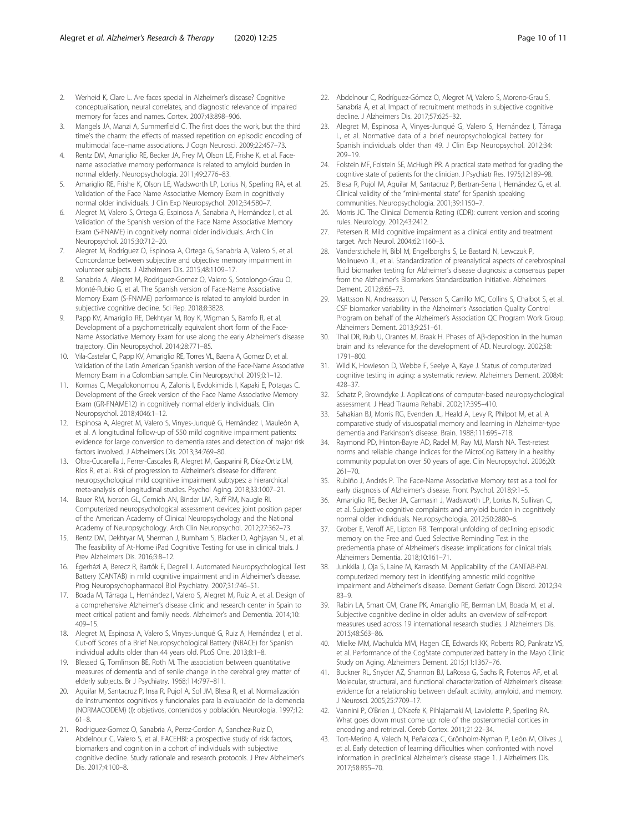- <span id="page-9-0"></span>2. Werheid K, Clare L. Are faces special in Alzheimer's disease? Cognitive conceptualisation, neural correlates, and diagnostic relevance of impaired memory for faces and names. Cortex. 2007;43:898–906.
- 3. Mangels JA, Manzi A, Summerfield C. The first does the work, but the third time's the charm: the effects of massed repetition on episodic encoding of multimodal face–name associations. J Cogn Neurosci. 2009;22:457–73.
- 4. Rentz DM, Amariglio RE, Becker JA, Frey M, Olson LE, Frishe K, et al. Facename associative memory performance is related to amyloid burden in normal elderly. Neuropsychologia. 2011;49:2776–83.
- 5. Amariglio RE, Frishe K, Olson LE, Wadsworth LP, Lorius N, Sperling RA, et al. Validation of the Face Name Associative Memory Exam in cognitively normal older individuals. J Clin Exp Neuropsychol. 2012;34:580–7.
- 6. Alegret M, Valero S, Ortega G, Espinosa A, Sanabria A, Hernández I, et al. Validation of the Spanish version of the Face Name Associative Memory Exam (S-FNAME) in cognitively normal older individuals. Arch Clin Neuropsychol. 2015;30:712–20.
- 7. Alegret M, Rodríguez O, Espinosa A, Ortega G, Sanabria A, Valero S, et al. Concordance between subjective and objective memory impairment in volunteer subjects. J Alzheimers Dis. 2015;48:1109–17.
- Sanabria A, Alegret M, Rodriguez-Gomez O, Valero S, Sotolongo-Grau O, Monté-Rubio G, et al. The Spanish version of Face-Name Associative Memory Exam (S-FNAME) performance is related to amyloid burden in subjective cognitive decline. Sci Rep. 2018;8:3828.
- Papp KV, Amariglio RE, Dekhtyar M, Roy K, Wigman S, Bamfo R, et al. Development of a psychometrically equivalent short form of the Face-Name Associative Memory Exam for use along the early Alzheimer's disease trajectory. Clin Neuropsychol. 2014;28:771–85.
- 10. Vila-Castelar C, Papp KV, Amariglio RE, Torres VL, Baena A, Gomez D, et al. Validation of the Latin American Spanish version of the Face-Name Associative Memory Exam in a Colombian sample. Clin Neuropsychol. 2019;0:1–12.
- 11. Kormas C, Megalokonomou A, Zalonis I, Evdokimidis I, Kapaki E, Potagas C. Development of the Greek version of the Face Name Associative Memory Exam (GR-FNAME12) in cognitively normal elderly individuals. Clin Neuropsychol. 2018;4046:1–12.
- 12. Espinosa A, Alegret M, Valero S, Vinyes-Junqué G, Hernández I, Mauleón A, et al. A longitudinal follow-up of 550 mild cognitive impairment patients: evidence for large conversion to dementia rates and detection of major risk factors involved. J Alzheimers Dis. 2013;34:769–80.
- 13. Oltra-Cucarella J, Ferrer-Cascales R, Alegret M, Gasparini R, Díaz-Ortiz LM, Ríos R, et al. Risk of progression to Alzheimer's disease for different neuropsychological mild cognitive impairment subtypes: a hierarchical meta-analysis of longitudinal studies. Psychol Aging. 2018;33:1007–21.
- 14. Bauer RM, Iverson GL, Cernich AN, Binder LM, Ruff RM, Naugle RI. Computerized neuropsychological assessment devices: joint position paper of the American Academy of Clinical Neuropsychology and the National Academy of Neuropsychology. Arch Clin Neuropsychol. 2012;27:362–73.
- 15. Rentz DM, Dekhtyar M, Sherman J, Burnham S, Blacker D, Aghjayan SL, et al. The feasibility of At-Home iPad Cognitive Testing for use in clinical trials. J Prev Alzheimers Dis. 2016;3:8–12.
- 16. Égerházi A, Berecz R, Bartók E, Degrell I. Automated Neuropsychological Test Battery (CANTAB) in mild cognitive impairment and in Alzheimer's disease. Prog Neuropsychopharmacol Biol Psychiatry. 2007;31:746–51.
- 17. Boada M, Tárraga L, Hernández I, Valero S, Alegret M, Ruiz A, et al. Design of a comprehensive Alzheimer's disease clinic and research center in Spain to meet critical patient and family needs. Alzheimer's and Dementia. 2014;10: 409–15.
- 18. Alegret M, Espinosa A, Valero S, Vinyes-Junqué G, Ruiz A, Hernández I, et al. Cut-off Scores of a Brief Neuropsychological Battery (NBACE) for Spanish individual adults older than 44 years old. PLoS One. 2013;8:1–8.
- 19. Blessed G, Tomlinson BE, Roth M. The association between quantitative measures of dementia and of senile change in the cerebral grey matter of elderly subjects. Br J Psychiatry. 1968;114:797–811.
- 20. Aguilar M, Santacruz P, Insa R, Pujol A, Sol JM, Blesa R, et al. Normalización de instrumentos cognitivos y funcionales para la evaluación de la demencia (NORMACODEM) (I): objetivos, contenidos y población. Neurologia. 1997;12: 61–8.
- 21. Rodriguez-Gomez O, Sanabria A, Perez-Cordon A, Sanchez-Ruiz D, Abdelnour C, Valero S, et al. FACEHBI: a prospective study of risk factors, biomarkers and cognition in a cohort of individuals with subjective cognitive decline. Study rationale and research protocols. J Prev Alzheimer's Dis. 2017;4:100-8.
- 22. Abdelnour C, Rodríguez-Gómez O, Alegret M, Valero S, Moreno-Grau S, Sanabria Á, et al. Impact of recruitment methods in subjective cognitive decline. J Alzheimers Dis. 2017;57:625–32.
- 23. Alegret M, Espinosa A, Vinyes-Junqué G, Valero S, Hernández I, Tárraga L, et al. Normative data of a brief neuropsychological battery for Spanish individuals older than 49. J Clin Exp Neuropsychol. 2012;34: 209–19.
- 24. Folstein MF, Folstein SE, McHugh PR. A practical state method for grading the cognitive state of patients for the clinician. J Psychiatr Res. 1975;12:189–98.
- 25. Blesa R, Pujol M, Aguilar M, Santacruz P, Bertran-Serra I, Hernández G, et al. Clinical validity of the "mini-mental state" for Spanish speaking communities. Neuropsychologia. 2001;39:1150–7.
- 26. Morris JC. The Clinical Dementia Rating (CDR): current version and scoring rules. Neurology. 2012;43:2412.
- 27. Petersen R. Mild cognitive impairment as a clinical entity and treatment target. Arch Neurol. 2004;62:1160–3.
- 28. Vanderstichele H, Bibl M, Engelborghs S, Le Bastard N, Lewczuk P, Molinuevo JL, et al. Standardization of preanalytical aspects of cerebrospinal fluid biomarker testing for Alzheimer's disease diagnosis: a consensus paper from the Alzheimer's Biomarkers Standardization Initiative. Alzheimers Dement. 2012;8:65–73.
- 29. Mattsson N, Andreasson U, Persson S, Carrillo MC, Collins S, Chalbot S, et al. CSF biomarker variability in the Alzheimer's Association Quality Control Program on behalf of the Alzheimer's Association QC Program Work Group. Alzheimers Dement. 2013;9:251–61.
- 30. Thal DR, Rub U, Orantes M, Braak H. Phases of Aβ-deposition in the human brain and its relevance for the development of AD. Neurology. 2002;58: 1791–800.
- 31. Wild K, Howieson D, Webbe F, Seelye A, Kaye J. Status of computerized cognitive testing in aging: a systematic review. Alzheimers Dement. 2008;4: 428–37.
- 32. Schatz P, Browndyke J. Applications of computer-based neuropsychological assessment. J Head Trauma Rehabil. 2002;17:395–410.
- 33. Sahakian BJ, Morris RG, Evenden JL, Heald A, Levy R, Philpot M, et al. A comparative study of visuospatial memory and learning in Alzheimer-type dementia and Parkinson's disease. Brain. 1988;111:695–718.
- 34. Raymond PD, Hinton-Bayre AD, Radel M, Ray MJ, Marsh NA. Test-retest norms and reliable change indices for the MicroCog Battery in a healthy community population over 50 years of age. Clin Neuropsychol. 2006;20: 261–70.
- 35. Rubiño J, Andrés P. The Face-Name Associative Memory test as a tool for early diagnosis of Alzheimer's disease. Front Psychol. 2018;9:1–5.
- 36. Amariglio RE, Becker JA, Carmasin J, Wadsworth LP, Lorius N, Sullivan C, et al. Subjective cognitive complaints and amyloid burden in cognitively normal older individuals. Neuropsychologia. 2012;50:2880–6.
- 37. Grober E, Veroff AE, Lipton RB. Temporal unfolding of declining episodic memory on the Free and Cued Selective Reminding Test in the predementia phase of Alzheimer's disease: implications for clinical trials. Alzheimers Dementia. 2018;10:161–71.
- 38. Junkkila J, Oja S, Laine M, Karrasch M. Applicability of the CANTAB-PAL computerized memory test in identifying amnestic mild cognitive impairment and Alzheimer's disease. Dement Geriatr Cogn Disord. 2012;34: 83–9.
- 39. Rabin LA, Smart CM, Crane PK, Amariglio RE, Berman LM, Boada M, et al. Subjective cognitive decline in older adults: an overview of self-report measures used across 19 international research studies. J Alzheimers Dis. 2015;48:S63–86.
- 40. Mielke MM, Machulda MM, Hagen CE, Edwards KK, Roberts RO, Pankratz VS, et al. Performance of the CogState computerized battery in the Mayo Clinic Study on Aging. Alzheimers Dement. 2015;11:1367–76.
- 41. Buckner RL, Snyder AZ, Shannon BJ, LaRossa G, Sachs R, Fotenos AF, et al. Molecular, structural, and functional characterization of Alzheimer's disease: evidence for a relationship between default activity, amyloid, and memory. J Neurosci. 2005;25:7709–17.
- 42. Vannini P, O'Brien J, O'Keefe K, Pihlajamaki M, Laviolette P, Sperling RA. What goes down must come up: role of the posteromedial cortices in encoding and retrieval. Cereb Cortex. 2011;21:22–34.
- 43. Tort-Merino A, Valech N, Peñaloza C, Grönholm-Nyman P, León M, Olives J, et al. Early detection of learning difficulties when confronted with novel information in preclinical Alzheimer's disease stage 1. J Alzheimers Dis. 2017;58:855–70.